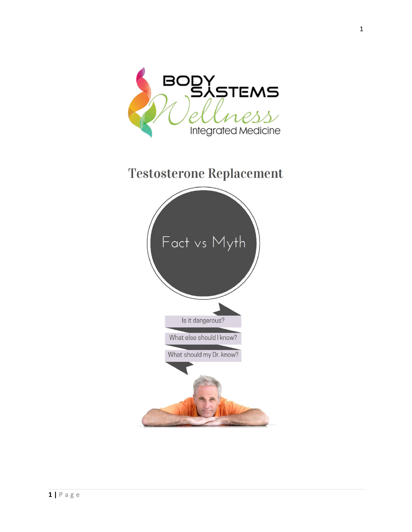

# **Testosterone Replacement**

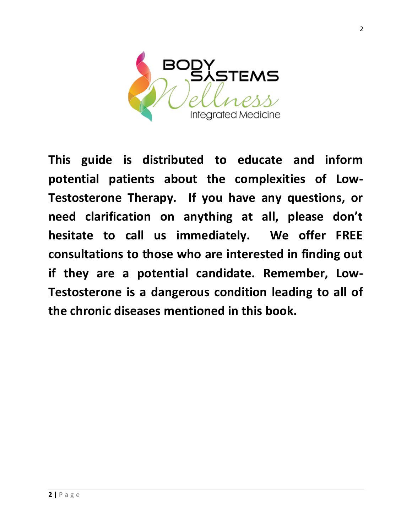

**This guide is distributed to educate and inform potential patients about the complexities of Low-Testosterone Therapy. If you have any questions, or need clarification on anything at all, please don't hesitate to call us immediately. We offer FREE consultations to those who are interested in finding out if they are a potential candidate. Remember, Low-Testosterone is a dangerous condition leading to all of the chronic diseases mentioned in this book.**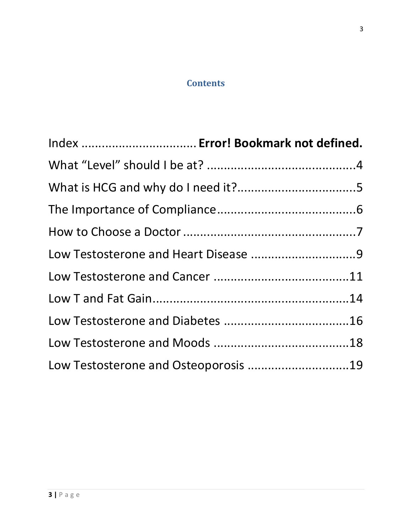# **Contents**

| Index  Error! Bookmark not defined.  |  |
|--------------------------------------|--|
|                                      |  |
|                                      |  |
|                                      |  |
|                                      |  |
|                                      |  |
|                                      |  |
|                                      |  |
|                                      |  |
|                                      |  |
| Low Testosterone and Osteoporosis 19 |  |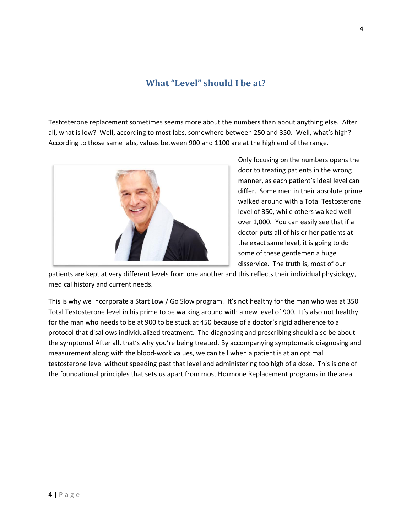# **What "Level" should I be at?**

<span id="page-3-0"></span>Testosterone replacement sometimes seems more about the numbers than about anything else. After all, what is low? Well, according to most labs, somewhere between 250 and 350. Well, what's high? According to those same labs, values between 900 and 1100 are at the high end of the range.



Only focusing on the numbers opens the door to treating patients in the wrong manner, as each patient's ideal level can differ. Some men in their absolute prime walked around with a Total Testosterone level of 350, while others walked well over 1,000. You can easily see that if a doctor puts all of his or her patients at the exact same level, it is going to do some of these gentlemen a huge disservice. The truth is, most of our

patients are kept at very different levels from one another and this reflects their individual physiology, medical history and current needs.

This is why we incorporate a Start Low / Go Slow program. It's not healthy for the man who was at 350 Total Testosterone level in his prime to be walking around with a new level of 900. It's also not healthy for the man who needs to be at 900 to be stuck at 450 because of a doctor's rigid adherence to a protocol that disallows individualized treatment. The diagnosing and prescribing should also be about the symptoms! After all, that's why you're being treated. By accompanying symptomatic diagnosing and measurement along with the blood-work values, we can tell when a patient is at an optimal testosterone level without speeding past that level and administering too high of a dose. This is one of the foundational principles that sets us apart from most Hormone Replacement programs in the area.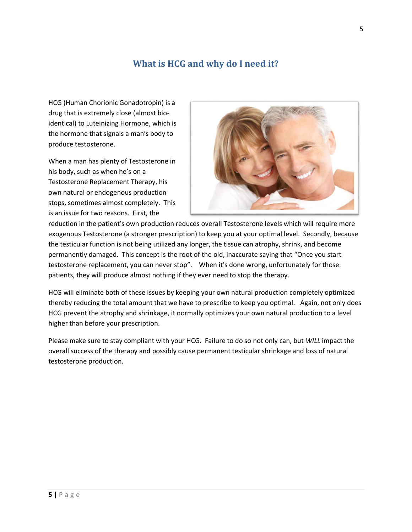# **What is HCG and why do I need it?**

<span id="page-4-0"></span>HCG (Human Chorionic Gonadotropin) is a drug that is extremely close (almost bioidentical) to Luteinizing Hormone, which is the hormone that signals a man's body to produce testosterone.

When a man has plenty of Testosterone in his body, such as when he's on a Testosterone Replacement Therapy, his own natural or endogenous production stops, sometimes almost completely. This is an issue for two reasons. First, the



reduction in the patient's own production reduces overall Testosterone levels which will require more exogenous Testosterone (a stronger prescription) to keep you at your optimal level. Secondly, because the testicular function is not being utilized any longer, the tissue can atrophy, shrink, and become permanently damaged. This concept is the root of the old, inaccurate saying that "Once you start testosterone replacement, you can never stop". When it's done wrong, unfortunately for those patients, they will produce almost nothing if they ever need to stop the therapy.

HCG will eliminate both of these issues by keeping your own natural production completely optimized thereby reducing the total amount that we have to prescribe to keep you optimal. Again, not only does HCG prevent the atrophy and shrinkage, it normally optimizes your own natural production to a level higher than before your prescription.

Please make sure to stay compliant with your HCG. Failure to do so not only can, but *WILL* impact the overall success of the therapy and possibly cause permanent testicular shrinkage and loss of natural testosterone production.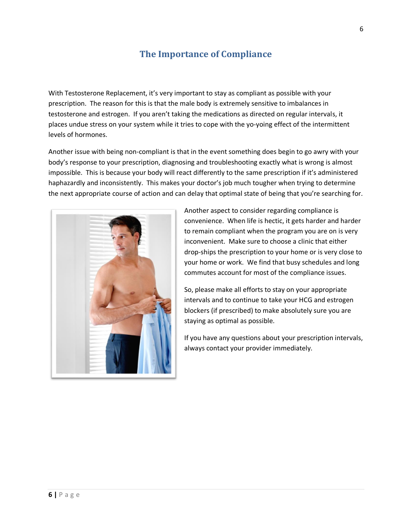# **The Importance of Compliance**

<span id="page-5-0"></span>With Testosterone Replacement, it's very important to stay as compliant as possible with your prescription. The reason for this is that the male body is extremely sensitive to imbalances in testosterone and estrogen. If you aren't taking the medications as directed on regular intervals, it places undue stress on your system while it tries to cope with the yo-yoing effect of the intermittent levels of hormones.

Another issue with being non-compliant is that in the event something does begin to go awry with your body's response to your prescription, diagnosing and troubleshooting exactly what is wrong is almost impossible. This is because your body will react differently to the same prescription if it's administered haphazardly and inconsistently. This makes your doctor's job much tougher when trying to determine the next appropriate course of action and can delay that optimal state of being that you're searching for.



Another aspect to consider regarding compliance is convenience. When life is hectic, it gets harder and harder to remain compliant when the program you are on is very inconvenient. Make sure to choose a clinic that either drop-ships the prescription to your home or is very close to your home or work. We find that busy schedules and long commutes account for most of the compliance issues.

So, please make all efforts to stay on your appropriate intervals and to continue to take your HCG and estrogen blockers (if prescribed) to make absolutely sure you are staying as optimal as possible.

If you have any questions about your prescription intervals, always contact your provider immediately.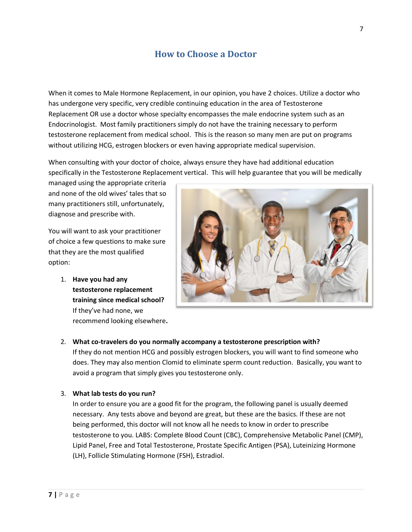# **How to Choose a Doctor**

<span id="page-6-0"></span>When it comes to Male Hormone Replacement, in our opinion, you have 2 choices. Utilize a doctor who has undergone very specific, very credible continuing education in the area of Testosterone Replacement OR use a doctor whose specialty encompasses the male endocrine system such as an Endocrinologist. Most family practitioners simply do not have the training necessary to perform testosterone replacement from medical school. This is the reason so many men are put on programs without utilizing HCG, estrogen blockers or even having appropriate medical supervision.

When consulting with your doctor of choice, always ensure they have had additional education specifically in the Testosterone Replacement vertical. This will help guarantee that you will be medically

managed using the appropriate criteria and none of the old wives' tales that so many practitioners still, unfortunately, diagnose and prescribe with.

You will want to ask your practitioner of choice a few questions to make sure that they are the most qualified option:

> 1. **Have you had any testosterone replacement training since medical school?**  If they've had none, we recommend looking elsewhere**.**



#### 2. **What co-travelers do you normally accompany a testosterone prescription with?**

If they do not mention HCG and possibly estrogen blockers, you will want to find someone who does. They may also mention Clomid to eliminate sperm count reduction. Basically, you want to avoid a program that simply gives you testosterone only.

#### 3. **What lab tests do you run?**

In order to ensure you are a good fit for the program, the following panel is usually deemed necessary. Any tests above and beyond are great, but these are the basics. If these are not being performed, this doctor will not know all he needs to know in order to prescribe testosterone to you. LABS: Complete Blood Count (CBC), Comprehensive Metabolic Panel (CMP), Lipid Panel, Free and Total Testosterone, Prostate Specific Antigen (PSA), Luteinizing Hormone (LH), Follicle Stimulating Hormone (FSH), Estradiol.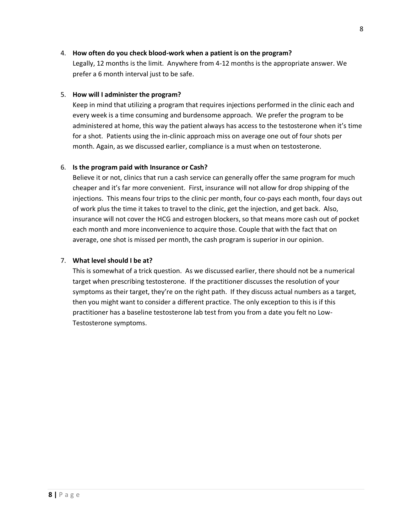#### 4. **How often do you check blood-work when a patient is on the program?**

Legally, 12 months is the limit. Anywhere from 4-12 months is the appropriate answer. We prefer a 6 month interval just to be safe.

#### 5. **How will I administer the program?**

Keep in mind that utilizing a program that requires injections performed in the clinic each and every week is a time consuming and burdensome approach. We prefer the program to be administered at home, this way the patient always has access to the testosterone when it's time for a shot. Patients using the in-clinic approach miss on average one out of four shots per month. Again, as we discussed earlier, compliance is a must when on testosterone.

#### 6. **Is the program paid with Insurance or Cash?**

Believe it or not, clinics that run a cash service can generally offer the same program for much cheaper and it's far more convenient. First, insurance will not allow for drop shipping of the injections. This means four trips to the clinic per month, four co-pays each month, four days out of work plus the time it takes to travel to the clinic, get the injection, and get back. Also, insurance will not cover the HCG and estrogen blockers, so that means more cash out of pocket each month and more inconvenience to acquire those. Couple that with the fact that on average, one shot is missed per month, the cash program is superior in our opinion.

#### 7. **What level should I be at?**

This is somewhat of a trick question. As we discussed earlier, there should not be a numerical target when prescribing testosterone. If the practitioner discusses the resolution of your symptoms as their target, they're on the right path. If they discuss actual numbers as a target, then you might want to consider a different practice. The only exception to this is if this practitioner has a baseline testosterone lab test from you from a date you felt no Low-Testosterone symptoms.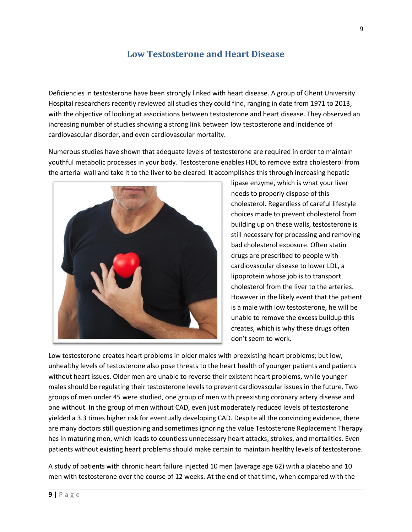# **Low Testosterone and Heart Disease**

<span id="page-8-0"></span>Deficiencies in testosterone have been strongly linked with heart disease. A group of Ghent University Hospital researchers recently reviewed all studies they could find, ranging in date from 1971 to 2013, with the objective of looking at associations between testosterone and heart disease. They observed an increasing number of studies showing a strong link between low testosterone and incidence of cardiovascular disorder, and even cardiovascular mortality.

Numerous studies have shown that adequate levels of testosterone are required in order to maintain youthful metabolic processes in your body. Testosterone enables HDL to remove extra cholesterol from the arterial wall and take it to the liver to be cleared. It accomplishes this through increasing hepatic



lipase enzyme, which is what your liver needs to properly dispose of this cholesterol. Regardless of careful lifestyle choices made to prevent cholesterol from building up on these walls, testosterone is still necessary for processing and removing bad cholesterol exposure. Often statin drugs are prescribed to people with cardiovascular disease to lower LDL, a lipoprotein whose job is to transport cholesterol from the liver to the arteries. However in the likely event that the patient is a male with low testosterone, he will be unable to remove the excess buildup this creates, which is why these drugs often don't seem to work.

Low testosterone creates heart problems in older males with preexisting heart problems; but low, unhealthy levels of testosterone also pose threats to the heart health of younger patients and patients without heart issues. Older men are unable to reverse their existent heart problems, while younger males should be regulating their testosterone levels to prevent cardiovascular issues in the future. Two groups of men under 45 were studied, one group of men with preexisting coronary artery disease and one without. In the group of men without CAD, even just moderately reduced levels of testosterone yielded a 3.3 times higher risk for eventually developing CAD. Despite all the convincing evidence, there are many doctors still questioning and sometimes ignoring the value Testosterone Replacement Therapy has in maturing men, which leads to countless unnecessary heart attacks, strokes, and mortalities. Even patients without existing heart problems should make certain to maintain healthy levels of testosterone.

A study of patients with chronic heart failure injected 10 men (average age 62) with a placebo and 10 men with testosterone over the course of 12 weeks. At the end of that time, when compared with the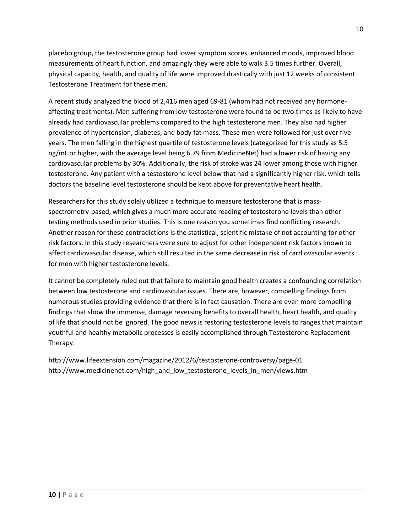placebo group, the testosterone group had lower symptom scores, enhanced moods, improved blood measurements of heart function, and amazingly they were able to walk 3.5 times further. Overall, physical capacity, health, and quality of life were improved drastically with just 12 weeks of consistent Testosterone Treatment for these men.

A recent study analyzed the blood of 2,416 men aged 69-81 (whom had not received any hormoneaffecting treatments). Men suffering from low testosterone were found to be two times as likely to have already had cardiovascular problems compared to the high testosterone men. They also had higher prevalence of hypertension, diabetes, and body fat mass. These men were followed for just over five years. The men falling in the highest quartile of testosterone levels (categorized for this study as 5.5 ng/mL or higher, with the average level being 6.79 from MedicineNet) had a lower risk of having any cardiovascular problems by 30%. Additionally, the risk of stroke was 24 lower among those with higher testosterone. Any patient with a testosterone level below that had a significantly higher risk, which tells doctors the baseline level testosterone should be kept above for preventative heart health.

Researchers for this study solely utilized a technique to measure testosterone that is massspectrometry-based, which gives a much more accurate reading of testosterone levels than other testing methods used in prior studies. This is one reason you sometimes find conflicting research. Another reason for these contradictions is the statistical, scientific mistake of not accounting for other risk factors. In this study researchers were sure to adjust for other independent risk factors known to affect cardiovascular disease, which still resulted in the same decrease in risk of cardiovascular events for men with higher testosterone levels.

It cannot be completely ruled out that failure to maintain good health creates a confounding correlation between low testosterone and cardiovascular issues. There are, however, compelling findings from numerous studies providing evidence that there is in fact causation. There are even more compelling findings that show the immense, damage reversing benefits to overall health, heart health, and quality of life that should not be ignored. The good news is restoring testosterone levels to ranges that maintain youthful and healthy metabolic processes is easily accomplished through Testosterone Replacement Therapy.

http://www.lifeextension.com/magazine/2012/6/testosterone-controversy/page-01 http://www.medicinenet.com/high\_and\_low\_testosterone\_levels\_in\_men/views.htm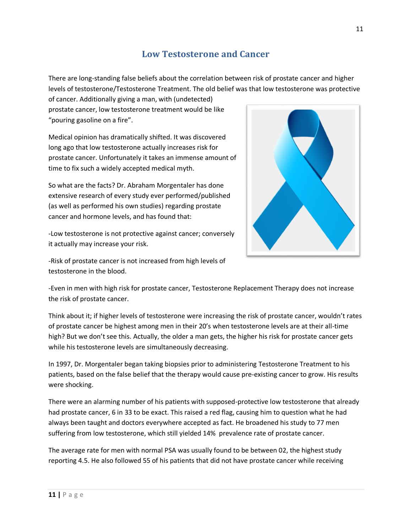# **Low Testosterone and Cancer**

<span id="page-10-0"></span>There are long-standing false beliefs about the correlation between risk of prostate cancer and higher levels of testosterone/Testosterone Treatment. The old belief was that low testosterone was protective

of cancer. Additionally giving a man, with (undetected) prostate cancer, low testosterone treatment would be like "pouring gasoline on a fire".

Medical opinion has dramatically shifted. It was discovered long ago that low testosterone actually increases risk for prostate cancer. Unfortunately it takes an immense amount of time to fix such a widely accepted medical myth.

So what are the facts? Dr. Abraham Morgentaler has done extensive research of every study ever performed/published (as well as performed his own studies) regarding prostate cancer and hormone levels, and has found that:

-Low testosterone is not protective against cancer; conversely it actually may increase your risk.

-Risk of prostate cancer is not increased from high levels of testosterone in the blood.



-Even in men with high risk for prostate cancer, Testosterone Replacement Therapy does not increase the risk of prostate cancer.

Think about it; if higher levels of testosterone were increasing the risk of prostate cancer, wouldn't rates of prostate cancer be highest among men in their 20's when testosterone levels are at their all-time high? But we don't see this. Actually, the older a man gets, the higher his risk for prostate cancer gets while his testosterone levels are simultaneously decreasing.

In 1997, Dr. Morgentaler began taking biopsies prior to administering Testosterone Treatment to his patients, based on the false belief that the therapy would cause pre-existing cancer to grow. His results were shocking.

There were an alarming number of his patients with supposed-protective low testosterone that already had prostate cancer, 6 in 33 to be exact. This raised a red flag, causing him to question what he had always been taught and doctors everywhere accepted as fact. He broadened his study to 77 men suffering from low testosterone, which still yielded 14% prevalence rate of prostate cancer.

The average rate for men with normal PSA was usually found to be between 02, the highest study reporting 4.5. He also followed 55 of his patients that did not have prostate cancer while receiving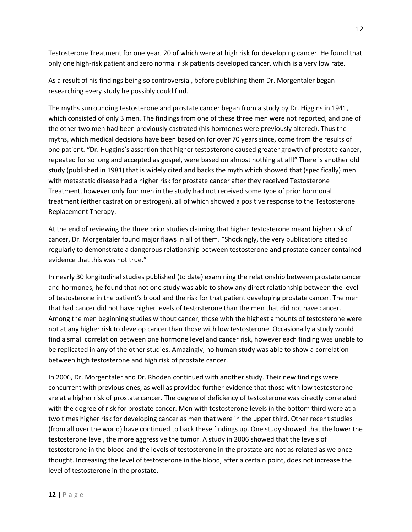Testosterone Treatment for one year, 20 of which were at high risk for developing cancer. He found that only one high-risk patient and zero normal risk patients developed cancer, which is a very low rate.

As a result of his findings being so controversial, before publishing them Dr. Morgentaler began researching every study he possibly could find.

The myths surrounding testosterone and prostate cancer began from a study by Dr. Higgins in 1941, which consisted of only 3 men. The findings from one of these three men were not reported, and one of the other two men had been previously castrated (his hormones were previously altered). Thus the myths, which medical decisions have been based on for over 70 years since, come from the results of one patient. "Dr. Huggins's assertion that higher testosterone caused greater growth of prostate cancer, repeated for so long and accepted as gospel, were based on almost nothing at all!" There is another old study (published in 1981) that is widely cited and backs the myth which showed that (specifically) men with metastatic disease had a higher risk for prostate cancer after they received Testosterone Treatment, however only four men in the study had not received some type of prior hormonal treatment (either castration or estrogen), all of which showed a positive response to the Testosterone Replacement Therapy.

At the end of reviewing the three prior studies claiming that higher testosterone meant higher risk of cancer, Dr. Morgentaler found major flaws in all of them. "Shockingly, the very publications cited so regularly to demonstrate a dangerous relationship between testosterone and prostate cancer contained evidence that this was not true."

In nearly 30 longitudinal studies published (to date) examining the relationship between prostate cancer and hormones, he found that not one study was able to show any direct relationship between the level of testosterone in the patient's blood and the risk for that patient developing prostate cancer. The men that had cancer did not have higher levels of testosterone than the men that did not have cancer. Among the men beginning studies without cancer, those with the highest amounts of testosterone were not at any higher risk to develop cancer than those with low testosterone. Occasionally a study would find a small correlation between one hormone level and cancer risk, however each finding was unable to be replicated in any of the other studies. Amazingly, no human study was able to show a correlation between high testosterone and high risk of prostate cancer.

In 2006, Dr. Morgentaler and Dr. Rhoden continued with another study. Their new findings were concurrent with previous ones, as well as provided further evidence that those with low testosterone are at a higher risk of prostate cancer. The degree of deficiency of testosterone was directly correlated with the degree of risk for prostate cancer. Men with testosterone levels in the bottom third were at a two times higher risk for developing cancer as men that were in the upper third. Other recent studies (from all over the world) have continued to back these findings up. One study showed that the lower the testosterone level, the more aggressive the tumor. A study in 2006 showed that the levels of testosterone in the blood and the levels of testosterone in the prostate are not as related as we once thought. Increasing the level of testosterone in the blood, after a certain point, does not increase the level of testosterone in the prostate.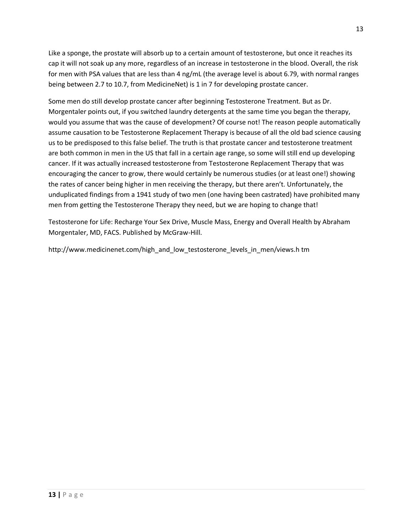Like a sponge, the prostate will absorb up to a certain amount of testosterone, but once it reaches its cap it will not soak up any more, regardless of an increase in testosterone in the blood. Overall, the risk for men with PSA values that are less than 4 ng/mL (the average level is about 6.79, with normal ranges being between 2.7 to 10.7, from MedicineNet) is 1 in 7 for developing prostate cancer.

Some men do still develop prostate cancer after beginning Testosterone Treatment. But as Dr. Morgentaler points out, if you switched laundry detergents at the same time you began the therapy, would you assume that was the cause of development? Of course not! The reason people automatically assume causation to be Testosterone Replacement Therapy is because of all the old bad science causing us to be predisposed to this false belief. The truth is that prostate cancer and testosterone treatment are both common in men in the US that fall in a certain age range, so some will still end up developing cancer. If it was actually increased testosterone from Testosterone Replacement Therapy that was encouraging the cancer to grow, there would certainly be numerous studies (or at least one!) showing the rates of cancer being higher in men receiving the therapy, but there aren't. Unfortunately, the unduplicated findings from a 1941 study of two men (one having been castrated) have prohibited many men from getting the Testosterone Therapy they need, but we are hoping to change that!

Testosterone for Life: Recharge Your Sex Drive, Muscle Mass, Energy and Overall Health by Abraham Morgentaler, MD, FACS. Published by McGraw-Hill.

http://www.medicinenet.com/high\_and\_low\_testosterone\_levels\_in\_men/views.h tm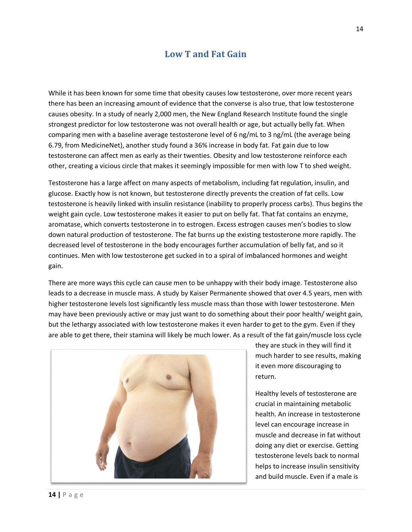### **Low T and Fat Gain**

<span id="page-13-0"></span>While it has been known for some time that obesity causes low testosterone, over more recent years there has been an increasing amount of evidence that the converse is also true, that low testosterone causes obesity. In a study of nearly 2,000 men, the New England Research Institute found the single strongest predictor for low testosterone was not overall health or age, but actually belly fat. When comparing men with a baseline average testosterone level of 6 ng/mL to 3 ng/mL (the average being 6.79, from MedicineNet), another study found a 36% increase in body fat. Fat gain due to low testosterone can affect men as early as their twenties. Obesity and low testosterone reinforce each other, creating a vicious circle that makes it seemingly impossible for men with low T to shed weight.

Testosterone has a large affect on many aspects of metabolism, including fat regulation, insulin, and glucose. Exactly how is not known, but testosterone directly prevents the creation of fat cells. Low testosterone is heavily linked with insulin resistance (inability to properly process carbs). Thus begins the weight gain cycle. Low testosterone makes it easier to put on belly fat. That fat contains an enzyme, aromatase, which converts testosterone in to estrogen. Excess estrogen causes men's bodies to slow down natural production of testosterone. The fat burns up the existing testosterone more rapidly. The decreased level of testosterone in the body encourages further accumulation of belly fat, and so it continues. Men with low testosterone get sucked in to a spiral of imbalanced hormones and weight gain.

There are more ways this cycle can cause men to be unhappy with their body image. Testosterone also leads to a decrease in muscle mass. A study by Kaiser Permanente showed that over 4.5 years, men with higher testosterone levels lost significantly less muscle mass than those with lower testosterone. Men may have been previously active or may just want to do something about their poor health/ weight gain, but the lethargy associated with low testosterone makes it even harder to get to the gym. Even if they are able to get there, their stamina will likely be much lower. As a result of the fat gain/muscle loss cycle



they are stuck in they will find it much harder to see results, making it even more discouraging to return.

Healthy levels of testosterone are crucial in maintaining metabolic health. An increase in testosterone level can encourage increase in muscle and decrease in fat without doing any diet or exercise. Getting testosterone levels back to normal helps to increase insulin sensitivity and build muscle. Even if a male is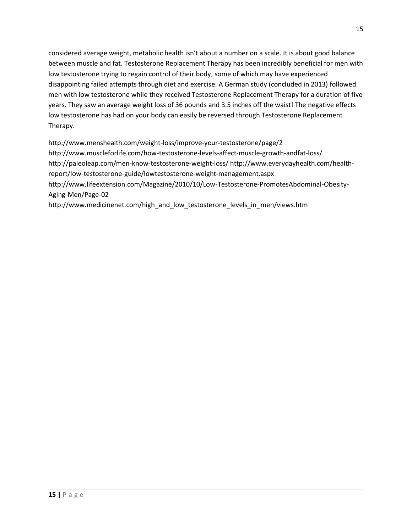considered average weight, metabolic health isn't about a number on a scale. It is about good balance between muscle and fat. Testosterone Replacement Therapy has been incredibly beneficial for men with low testosterone trying to regain control of their body, some of which may have experienced disappointing failed attempts through diet and exercise. A German study (concluded in 2013) followed men with low testosterone while they received Testosterone Replacement Therapy for a duration of five years. They saw an average weight loss of 36 pounds and 3.5 inches off the waist! The negative effects low testosterone has had on your body can easily be reversed through Testosterone Replacement Therapy.

http://www.menshealth.com/weight-loss/improve-your-testosterone/page/2 http://www.muscleforlife.com/how-testosterone-levels-affect-muscle-growth-andfat-loss/ http://paleoleap.com/men-know-testosterone-weight-loss/ http://www.everydayhealth.com/healthreport/low-testosterone-guide/lowtestosterone-weight-management.aspx http://www.lifeextension.com/Magazine/2010/10/Low-Testosterone-PromotesAbdominal-Obesity-Aging-Men/Page-02

http://www.medicinenet.com/high\_and\_low\_testosterone\_levels\_in\_men/views.htm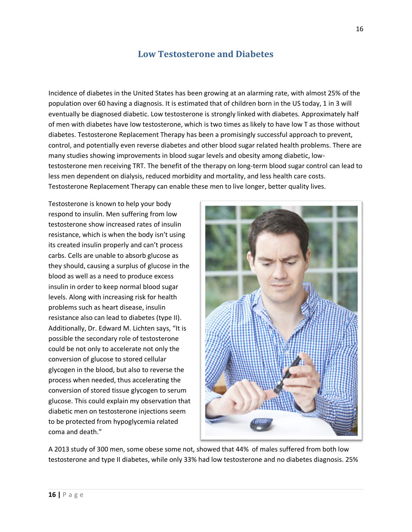### **Low Testosterone and Diabetes**

<span id="page-15-0"></span>Incidence of diabetes in the United States has been growing at an alarming rate, with almost 25% of the population over 60 having a diagnosis. It is estimated that of children born in the US today, 1 in 3 will eventually be diagnosed diabetic. Low testosterone is strongly linked with diabetes. Approximately half of men with diabetes have low testosterone, which is two times as likely to have low T as those without diabetes. Testosterone Replacement Therapy has been a promisingly successful approach to prevent, control, and potentially even reverse diabetes and other blood sugar related health problems. There are many studies showing improvements in blood sugar levels and obesity among diabetic, lowtestosterone men receiving TRT. The benefit of the therapy on long-term blood sugar control can lead to less men dependent on dialysis, reduced morbidity and mortality, and less health care costs. Testosterone Replacement Therapy can enable these men to live longer, better quality lives.

Testosterone is known to help your body respond to insulin. Men suffering from low testosterone show increased rates of insulin resistance, which is when the body isn't using its created insulin properly and can't process carbs. Cells are unable to absorb glucose as they should, causing a surplus of glucose in the blood as well as a need to produce excess insulin in order to keep normal blood sugar levels. Along with increasing risk for health problems such as heart disease, insulin resistance also can lead to diabetes (type II). Additionally, Dr. Edward M. Lichten says, "It is possible the secondary role of testosterone could be not only to accelerate not only the conversion of glucose to stored cellular glycogen in the blood, but also to reverse the process when needed, thus accelerating the conversion of stored tissue glycogen to serum glucose. This could explain my observation that diabetic men on testosterone injections seem to be protected from hypoglycemia related coma and death."



A 2013 study of 300 men, some obese some not, showed that 44% of males suffered from both low testosterone and type II diabetes, while only 33% had low testosterone and no diabetes diagnosis. 25%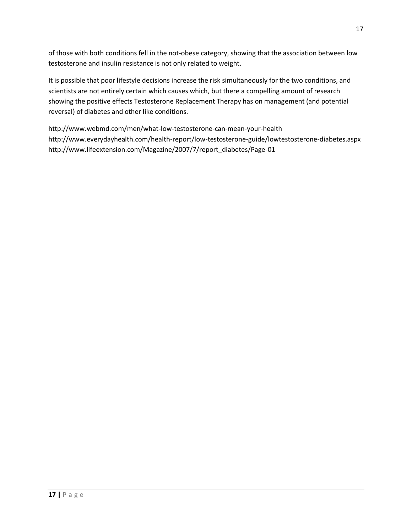of those with both conditions fell in the not-obese category, showing that the association between low testosterone and insulin resistance is not only related to weight.

It is possible that poor lifestyle decisions increase the risk simultaneously for the two conditions, and scientists are not entirely certain which causes which, but there a compelling amount of research showing the positive effects Testosterone Replacement Therapy has on management (and potential reversal) of diabetes and other like conditions.

http://www.webmd.com/men/what-low-testosterone-can-mean-your-health http://www.everydayhealth.com/health-report/low-testosterone-guide/lowtestosterone-diabetes.aspx http://www.lifeextension.com/Magazine/2007/7/report\_diabetes/Page-01

17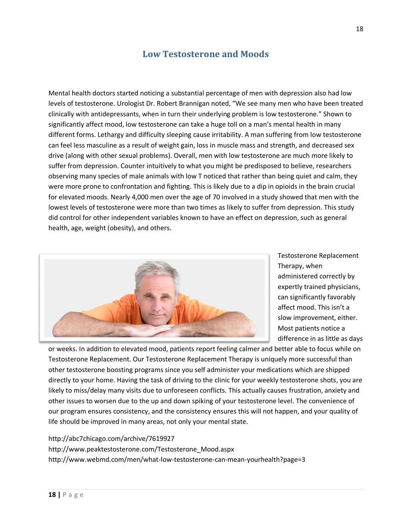### **Low Testosterone and Moods**

<span id="page-17-0"></span>Mental health doctors started noticing a substantial percentage of men with depression also had low levels of testosterone. Urologist Dr. Robert Brannigan noted, "We see many men who have been treated clinically with antidepressants, when in turn their underlying problem is low testosterone." Shown to significantly affect mood, low testosterone can take a huge toll on a man's mental health in many different forms. Lethargy and difficulty sleeping cause irritability. A man suffering from low testosterone can feel less masculine as a result of weight gain, loss in muscle mass and strength, and decreased sex drive (along with other sexual problems). Overall, men with low testosterone are much more likely to suffer from depression. Counter intuitively to what you might be predisposed to believe, researchers observing many species of male animals with low T noticed that rather than being quiet and calm, they were more prone to confrontation and fighting. This is likely due to a dip in opioids in the brain crucial for elevated moods. Nearly 4,000 men over the age of 70 involved in a study showed that men with the lowest levels of testosterone were more than two times as likely to suffer from depression. This study did control for other independent variables known to have an effect on depression, such as general health, age, weight (obesity), and others.



Testosterone Replacement Therapy, when administered correctly by expertly trained physicians, can significantly favorably affect mood. This isn't a slow improvement, either. Most patients notice a difference in as little as days

or weeks. In addition to elevated mood, patients report feeling calmer and better able to focus while on Testosterone Replacement. Our Testosterone Replacement Therapy is uniquely more successful than other testosterone boosting programs since you self administer your medications which are shipped directly to your home. Having the task of driving to the clinic for your weekly testosterone shots, you are likely to miss/delay many visits due to unforeseen conflicts. This actually causes frustration, anxiety and other issues to worsen due to the up and down spiking of your testosterone level. The convenience of our program ensures consistency, and the consistency ensures this will not happen, and your quality of life should be improved in many areas, not only your mental state.

#### http://abc7chicago.com/archive/7619927

http://www.peaktestosterone.com/Testosterone\_Mood.aspx http://www.webmd.com/men/what-low-testosterone-can-mean-yourhealth?page=3